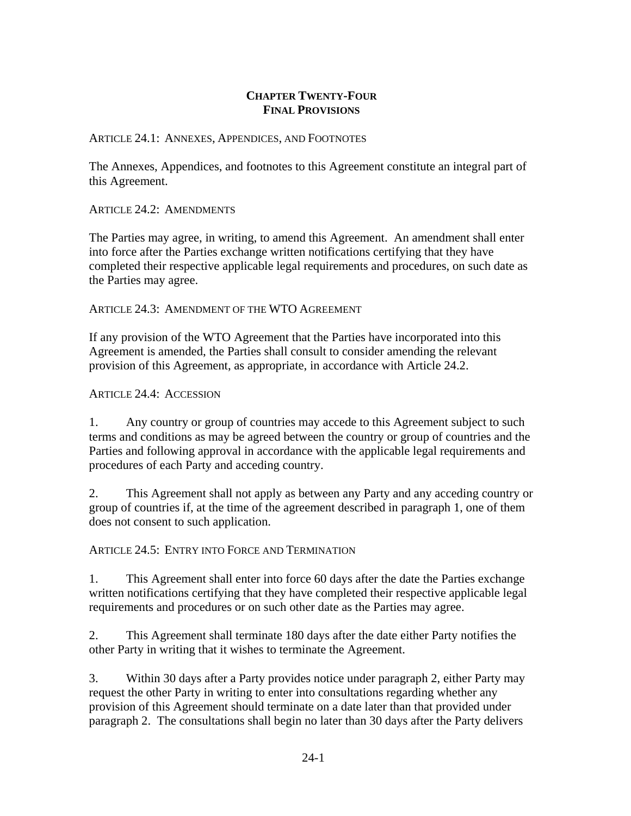## **CHAPTER TWENTY-FOUR FINAL PROVISIONS**

## ARTICLE 24.1: ANNEXES, APPENDICES, AND FOOTNOTES

The Annexes, Appendices, and footnotes to this Agreement constitute an integral part of this Agreement.

ARTICLE 24.2: AMENDMENTS

The Parties may agree, in writing, to amend this Agreement. An amendment shall enter into force after the Parties exchange written notifications certifying that they have completed their respective applicable legal requirements and procedures, on such date as the Parties may agree.

ARTICLE 24.3: AMENDMENT OF THE WTO AGREEMENT

If any provision of the WTO Agreement that the Parties have incorporated into this Agreement is amended, the Parties shall consult to consider amending the relevant provision of this Agreement, as appropriate, in accordance with Article 24.2.

ARTICLE 24.4: ACCESSION

1. Any country or group of countries may accede to this Agreement subject to such terms and conditions as may be agreed between the country or group of countries and the Parties and following approval in accordance with the applicable legal requirements and procedures of each Party and acceding country.

2. This Agreement shall not apply as between any Party and any acceding country or group of countries if, at the time of the agreement described in paragraph 1, one of them does not consent to such application.

ARTICLE 24.5: ENTRY INTO FORCE AND TERMINATION

1. This Agreement shall enter into force 60 days after the date the Parties exchange written notifications certifying that they have completed their respective applicable legal requirements and procedures or on such other date as the Parties may agree.

2. This Agreement shall terminate 180 days after the date either Party notifies the other Party in writing that it wishes to terminate the Agreement.

3. Within 30 days after a Party provides notice under paragraph 2, either Party may request the other Party in writing to enter into consultations regarding whether any provision of this Agreement should terminate on a date later than that provided under paragraph 2. The consultations shall begin no later than 30 days after the Party delivers